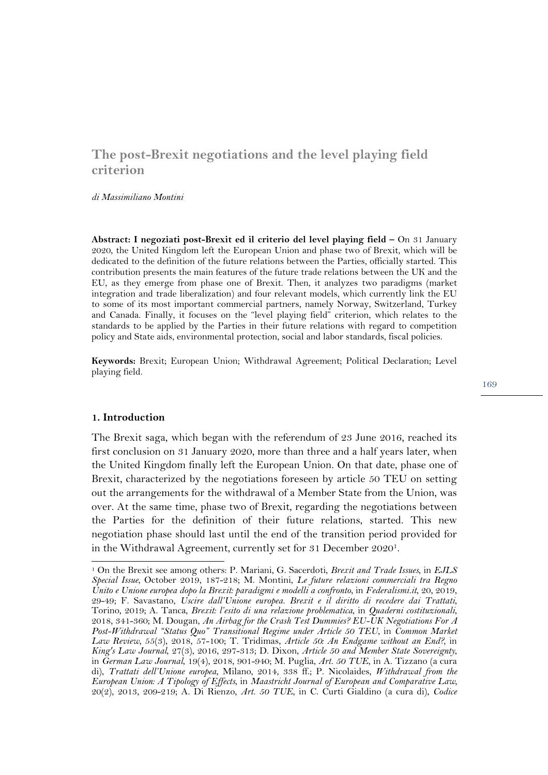# **The post-Brexit negotiations and the level playing field criterion**

*di Massimiliano Montini*

**Abstract: I negoziati post-Brexit ed il criterio del level playing field –** On 31 January 2020, the United Kingdom left the European Union and phase two of Brexit, which will be dedicated to the definition of the future relations between the Parties, officially started. This contribution presents the main features of the future trade relations between the UK and the EU, as they emerge from phase one of Brexit. Then, it analyzes two paradigms (market integration and trade liberalization) and four relevant models, which currently link the EU to some of its most important commercial partners, namely Norway, Switzerland, Turkey and Canada. Finally, it focuses on the "level playing field" criterion, which relates to the standards to be applied by the Parties in their future relations with regard to competition policy and State aids, environmental protection, social and labor standards, fiscal policies.

**Keywords:** Brexit; European Union; Withdrawal Agreement; Political Declaration; Level playing field.

#### **1. Introduction**

The Brexit saga, which began with the referendum of 23 June 2016, reached its first conclusion on 31 January 2020, more than three and a half years later, when the United Kingdom finally left the European Union. On that date, phase one of Brexit, characterized by the negotiations foreseen by article 50 TEU on setting out the arrangements for the withdrawal of a Member State from the Union, was over. At the same time, phase two of Brexit, regarding the negotiations between the Parties for the definition of their future relations, started. This new negotiation phase should last until the end of the transition period provided for in the Withdrawal Agreement, currently set for 31 December 20201.

<sup>1</sup> On the Brexit see among others: P. Mariani, G. Sacerdoti, *Brexit and Trade Issues*, in *EJLS Special Issue*, October 2019, 187-218; M. Montini, *Le future relazioni commerciali tra Regno Unito e Unione europea dopo la Brexit: paradigmi e modelli a confronto*, in *Federalismi.it*, 20, 2019, 29-49; F. Savastano, *Uscire dall'Unione europea. Brexit e il diritto di recedere dai Trattati*, Torino, 2019; A. Tanca, *Brexit: l'esito di una relazione problematica*, in *Quaderni costituzionali*, 2018, 341-360; M. Dougan, *An Airbag for the Crash Test Dummies? EU-UK Negotiations For A Post-Withdrawal "Status Quo" Transitional Regime under Article 50 TEU*, in *Common Market Law Review*, 55(3), 2018, 57-100; T. Tridimas, *Article 50: An Endgame without an End?,* in *King's Law Journal*, 27(3), 2016, 297-313; D. Dixon, *Article 50 and Member State Sovereignty*, in *German Law Journal*, 19(4), 2018, 901-940; M. Puglia, *Art. 50 TUE*, in A. Tizzano (a cura di), *Trattati dell'Unione europea*, Milano, 2014, 338 ff.; P. Nicolaides, *Withdrawal from the European Union: A Tipology of Effects*, in *Maastricht Journal of European and Comparative Law,* 20(2), 2013, 209-219; A. Di Rienzo, *Art. 50 TUE*, in C. Curti Gialdino (a cura di), *Codice*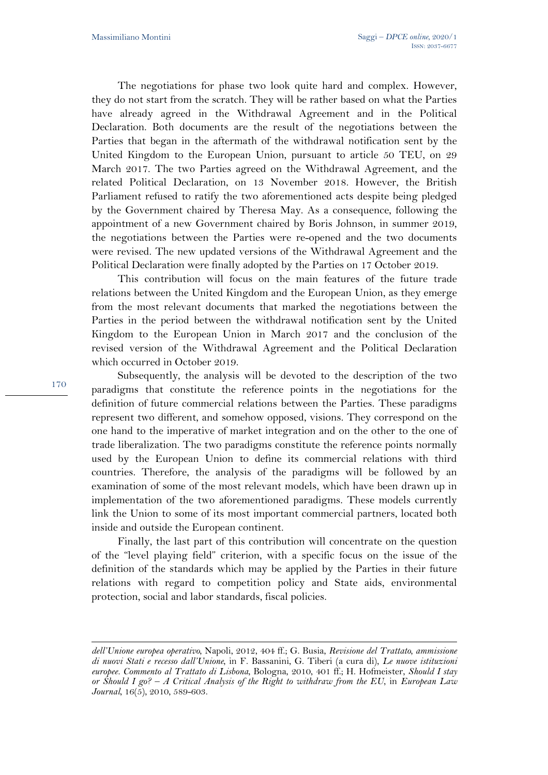The negotiations for phase two look quite hard and complex. However, they do not start from the scratch. They will be rather based on what the Parties have already agreed in the Withdrawal Agreement and in the Political Declaration. Both documents are the result of the negotiations between the Parties that began in the aftermath of the withdrawal notification sent by the United Kingdom to the European Union, pursuant to article 50 TEU, on 29 March 2017. The two Parties agreed on the Withdrawal Agreement, and the related Political Declaration, on 13 November 2018. However, the British Parliament refused to ratify the two aforementioned acts despite being pledged by the Government chaired by Theresa May. As a consequence, following the appointment of a new Government chaired by Boris Johnson, in summer 2019, the negotiations between the Parties were re-opened and the two documents were revised. The new updated versions of the Withdrawal Agreement and the Political Declaration were finally adopted by the Parties on 17 October 2019.

This contribution will focus on the main features of the future trade relations between the United Kingdom and the European Union, as they emerge from the most relevant documents that marked the negotiations between the Parties in the period between the withdrawal notification sent by the United Kingdom to the European Union in March 2017 and the conclusion of the revised version of the Withdrawal Agreement and the Political Declaration which occurred in October 2019.

Subsequently, the analysis will be devoted to the description of the two paradigms that constitute the reference points in the negotiations for the definition of future commercial relations between the Parties. These paradigms represent two different, and somehow opposed, visions. They correspond on the one hand to the imperative of market integration and on the other to the one of trade liberalization. The two paradigms constitute the reference points normally used by the European Union to define its commercial relations with third countries. Therefore, the analysis of the paradigms will be followed by an examination of some of the most relevant models, which have been drawn up in implementation of the two aforementioned paradigms. These models currently link the Union to some of its most important commercial partners, located both inside and outside the European continent.

Finally, the last part of this contribution will concentrate on the question of the "level playing field" criterion, with a specific focus on the issue of the definition of the standards which may be applied by the Parties in their future relations with regard to competition policy and State aids, environmental protection, social and labor standards, fiscal policies.

*dell'Unione europea operativo*, Napoli, 2012, 404 ff.; G. Busia, *Revisione del Trattato, ammissione di nuovi Stati e recesso dall'Unione*, in F. Bassanini, G. Tiberi (a cura di), *Le nuove istituzioni europee. Commento al Trattato di Lisbona*, Bologna, 2010, 401 ff.; H. Hofmeister, *Should I stay or Should I go? – A Critical Analysis of the Right to withdraw from the EU*, in *European Law Journal*, 16(5), 2010, 589-603.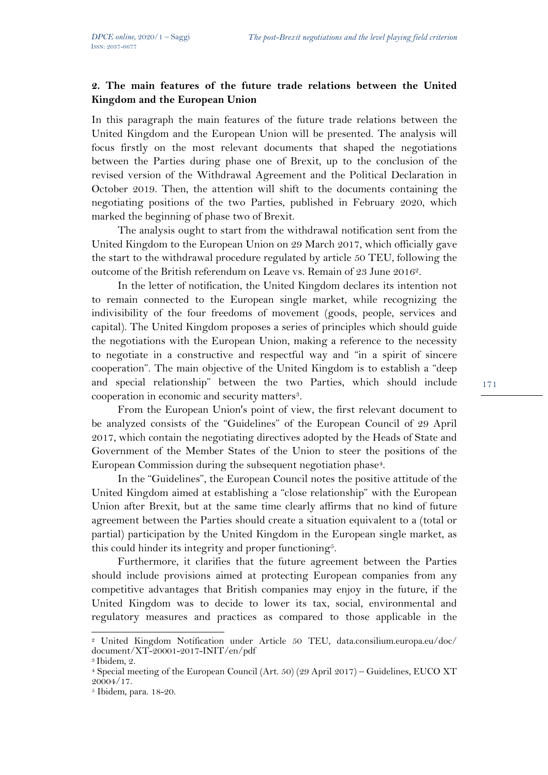## **2. The main features of the future trade relations between the United Kingdom and the European Union**

In this paragraph the main features of the future trade relations between the United Kingdom and the European Union will be presented. The analysis will focus firstly on the most relevant documents that shaped the negotiations between the Parties during phase one of Brexit, up to the conclusion of the revised version of the Withdrawal Agreement and the Political Declaration in October 2019. Then, the attention will shift to the documents containing the negotiating positions of the two Parties, published in February 2020, which marked the beginning of phase two of Brexit.

The analysis ought to start from the withdrawal notification sent from the United Kingdom to the European Union on 29 March 2017, which officially gave the start to the withdrawal procedure regulated by article 50 TEU, following the outcome of the British referendum on Leave vs. Remain of 23 June 20162.

In the letter of notification, the United Kingdom declares its intention not to remain connected to the European single market, while recognizing the indivisibility of the four freedoms of movement (goods, people, services and capital). The United Kingdom proposes a series of principles which should guide the negotiations with the European Union, making a reference to the necessity to negotiate in a constructive and respectful way and "in a spirit of sincere cooperation". The main objective of the United Kingdom is to establish a "deep and special relationship" between the two Parties, which should include cooperation in economic and security matters3.

From the European Union's point of view, the first relevant document to be analyzed consists of the "Guidelines" of the European Council of 29 April 2017, which contain the negotiating directives adopted by the Heads of State and Government of the Member States of the Union to steer the positions of the European Commission during the subsequent negotiation phase<sup>4</sup>.

In the "Guidelines", the European Council notes the positive attitude of the United Kingdom aimed at establishing a "close relationship" with the European Union after Brexit, but at the same time clearly affirms that no kind of future agreement between the Parties should create a situation equivalent to a (total or partial) participation by the United Kingdom in the European single market, as this could hinder its integrity and proper functioning<sup>5</sup>.

Furthermore, it clarifies that the future agreement between the Parties should include provisions aimed at protecting European companies from any competitive advantages that British companies may enjoy in the future, if the United Kingdom was to decide to lower its tax, social, environmental and regulatory measures and practices as compared to those applicable in the

<sup>2</sup> United Kingdom Notification under Article 50 TEU, data.consilium.europa.eu/doc/ document/XT-20001-2017-INIT/en/pdf

<sup>3</sup> Ibidem, 2.

<sup>4</sup> Special meeting of the European Council (Art. 50) (29 April 2017) – Guidelines, EUCO XT 20004/17.

<sup>5</sup> Ibidem, para. 18-20.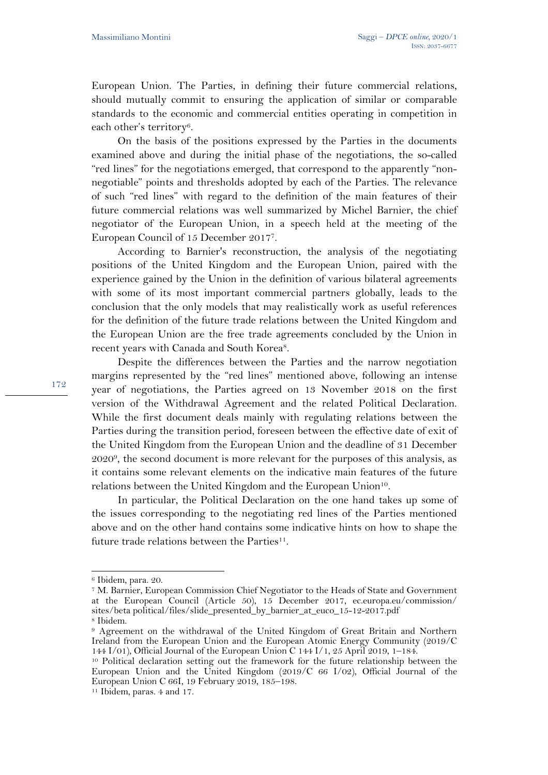European Union. The Parties, in defining their future commercial relations, should mutually commit to ensuring the application of similar or comparable standards to the economic and commercial entities operating in competition in each other's territory<sup>6</sup>.

On the basis of the positions expressed by the Parties in the documents examined above and during the initial phase of the negotiations, the so-called "red lines" for the negotiations emerged, that correspond to the apparently "nonnegotiable" points and thresholds adopted by each of the Parties. The relevance of such "red lines" with regard to the definition of the main features of their future commercial relations was well summarized by Michel Barnier, the chief negotiator of the European Union, in a speech held at the meeting of the European Council of 15 December 20177.

According to Barnier's reconstruction, the analysis of the negotiating positions of the United Kingdom and the European Union, paired with the experience gained by the Union in the definition of various bilateral agreements with some of its most important commercial partners globally, leads to the conclusion that the only models that may realistically work as useful references for the definition of the future trade relations between the United Kingdom and the European Union are the free trade agreements concluded by the Union in recent years with Canada and South Korea<sup>8</sup>.

Despite the differences between the Parties and the narrow negotiation margins represented by the "red lines" mentioned above, following an intense year of negotiations, the Parties agreed on 13 November 2018 on the first version of the Withdrawal Agreement and the related Political Declaration. While the first document deals mainly with regulating relations between the Parties during the transition period, foreseen between the effective date of exit of the United Kingdom from the European Union and the deadline of 31 December  $2020<sup>9</sup>$ , the second document is more relevant for the purposes of this analysis, as it contains some relevant elements on the indicative main features of the future relations between the United Kingdom and the European Union<sup>10</sup>.

In particular, the Political Declaration on the one hand takes up some of the issues corresponding to the negotiating red lines of the Parties mentioned above and on the other hand contains some indicative hints on how to shape the future trade relations between the Parties $11$ .

<sup>6</sup> Ibidem, para. 20.

<sup>7</sup> M. Barnier, European Commission Chief Negotiator to the Heads of State and Government at the European Council (Article 50), 15 December 2017, ec.europa.eu/commission/ sites/beta political/files/slide\_presented\_by\_barnier\_at\_euco\_15-12-2017.pdf <sup>8</sup> Ibidem.

<sup>9</sup> Agreement on the withdrawal of the United Kingdom of Great Britain and Northern Ireland from the European Union and the European Atomic Energy Community (2019/C 144 I/01), Official Journal of the European Union C 144 I/1, 25 April 2019, 1–184.

<sup>10</sup> Political declaration setting out the framework for the future relationship between the European Union and the United Kingdom (2019/C 66 I/02), Official Journal of the European Union C 66I, 19 February 2019, 185–198.

<sup>11</sup> Ibidem, paras. 4 and 17.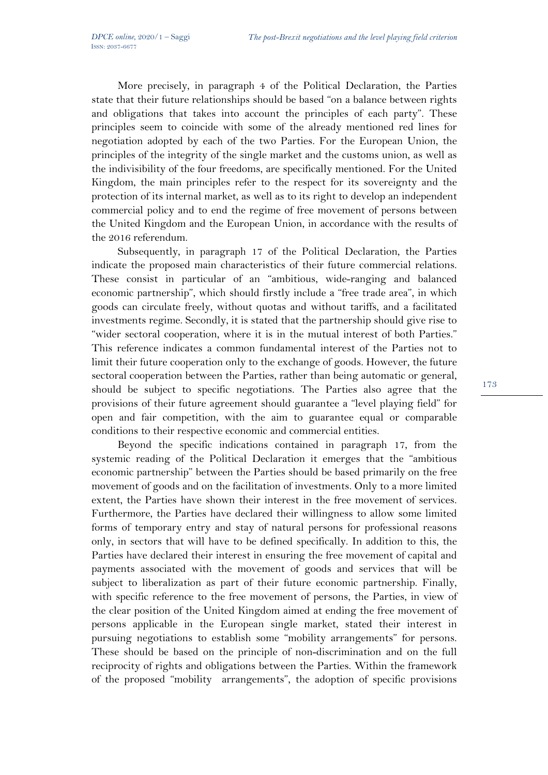More precisely, in paragraph 4 of the Political Declaration, the Parties state that their future relationships should be based "on a balance between rights and obligations that takes into account the principles of each party". These principles seem to coincide with some of the already mentioned red lines for negotiation adopted by each of the two Parties. For the European Union, the principles of the integrity of the single market and the customs union, as well as the indivisibility of the four freedoms, are specifically mentioned. For the United Kingdom, the main principles refer to the respect for its sovereignty and the protection of its internal market, as well as to its right to develop an independent commercial policy and to end the regime of free movement of persons between the United Kingdom and the European Union, in accordance with the results of the 2016 referendum.

Subsequently, in paragraph 17 of the Political Declaration, the Parties indicate the proposed main characteristics of their future commercial relations. These consist in particular of an "ambitious, wide-ranging and balanced economic partnership", which should firstly include a "free trade area", in which goods can circulate freely, without quotas and without tariffs, and a facilitated investments regime. Secondly, it is stated that the partnership should give rise to "wider sectoral cooperation, where it is in the mutual interest of both Parties." This reference indicates a common fundamental interest of the Parties not to limit their future cooperation only to the exchange of goods. However, the future sectoral cooperation between the Parties, rather than being automatic or general, should be subject to specific negotiations. The Parties also agree that the provisions of their future agreement should guarantee a "level playing field" for open and fair competition, with the aim to guarantee equal or comparable conditions to their respective economic and commercial entities.

Beyond the specific indications contained in paragraph 17, from the systemic reading of the Political Declaration it emerges that the "ambitious economic partnership" between the Parties should be based primarily on the free movement of goods and on the facilitation of investments. Only to a more limited extent, the Parties have shown their interest in the free movement of services. Furthermore, the Parties have declared their willingness to allow some limited forms of temporary entry and stay of natural persons for professional reasons only, in sectors that will have to be defined specifically. In addition to this, the Parties have declared their interest in ensuring the free movement of capital and payments associated with the movement of goods and services that will be subject to liberalization as part of their future economic partnership. Finally, with specific reference to the free movement of persons, the Parties, in view of the clear position of the United Kingdom aimed at ending the free movement of persons applicable in the European single market, stated their interest in pursuing negotiations to establish some "mobility arrangements" for persons. These should be based on the principle of non-discrimination and on the full reciprocity of rights and obligations between the Parties. Within the framework of the proposed "mobility arrangements", the adoption of specific provisions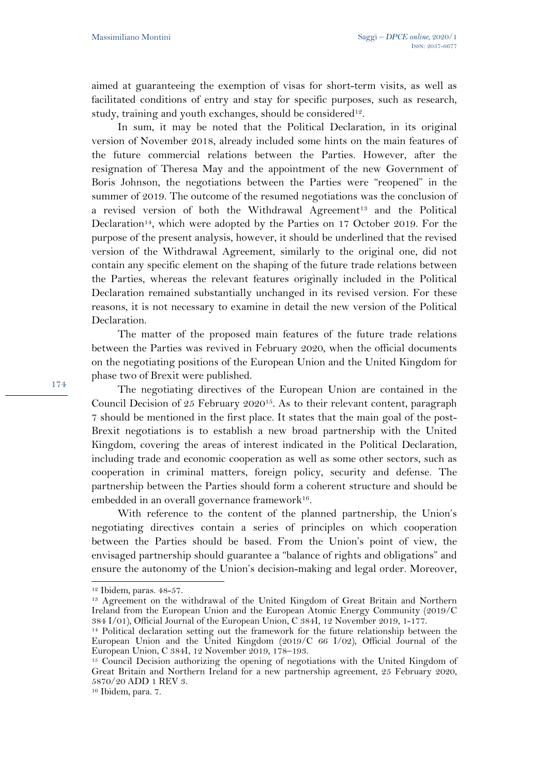aimed at guaranteeing the exemption of visas for short-term visits, as well as facilitated conditions of entry and stay for specific purposes, such as research, study, training and youth exchanges, should be considered<sup>12</sup>.

In sum, it may be noted that the Political Declaration, in its original version of November 2018, already included some hints on the main features of the future commercial relations between the Parties. However, after the resignation of Theresa May and the appointment of the new Government of Boris Johnson, the negotiations between the Parties were "reopened" in the summer of 2019. The outcome of the resumed negotiations was the conclusion of a revised version of both the Withdrawal Agreement<sup>13</sup> and the Political Declaration<sup>14</sup>, which were adopted by the Parties on 17 October 2019. For the purpose of the present analysis, however, it should be underlined that the revised version of the Withdrawal Agreement, similarly to the original one, did not contain any specific element on the shaping of the future trade relations between the Parties, whereas the relevant features originally included in the Political Declaration remained substantially unchanged in its revised version. For these reasons, it is not necessary to examine in detail the new version of the Political Declaration.

The matter of the proposed main features of the future trade relations between the Parties was revived in February 2020, when the official documents on the negotiating positions of the European Union and the United Kingdom for phase two of Brexit were published.

The negotiating directives of the European Union are contained in the Council Decision of 25 February 202015. As to their relevant content, paragraph 7 should be mentioned in the first place. It states that the main goal of the post-Brexit negotiations is to establish a new broad partnership with the United Kingdom, covering the areas of interest indicated in the Political Declaration, including trade and economic cooperation as well as some other sectors, such as cooperation in criminal matters, foreign policy, security and defense. The partnership between the Parties should form a coherent structure and should be embedded in an overall governance framework<sup>16</sup>.

With reference to the content of the planned partnership, the Union's negotiating directives contain a series of principles on which cooperation between the Parties should be based. From the Union's point of view, the envisaged partnership should guarantee a "balance of rights and obligations" and ensure the autonomy of the Union's decision-making and legal order. Moreover,

<sup>12</sup> Ibidem, paras. 48-57.

<sup>&</sup>lt;sup>13</sup> Agreement on the withdrawal of the United Kingdom of Great Britain and Northern Ireland from the European Union and the European Atomic Energy Community (2019/C 384 I/01), Official Journal of the European Union, C 384I, 12 November 2019, 1-177.

<sup>14</sup> Political declaration setting out the framework for the future relationship between the European Union and the United Kingdom (2019/C 66 I/02), Official Journal of the European Union, C 384I, 12 November 2019, 178–193.

<sup>15</sup> Council Decision authorizing the opening of negotiations with the United Kingdom of Great Britain and Northern Ireland for a new partnership agreement, 25 February 2020, 5870/20 ADD 1 REV 3.

<sup>16</sup> Ibidem, para. 7.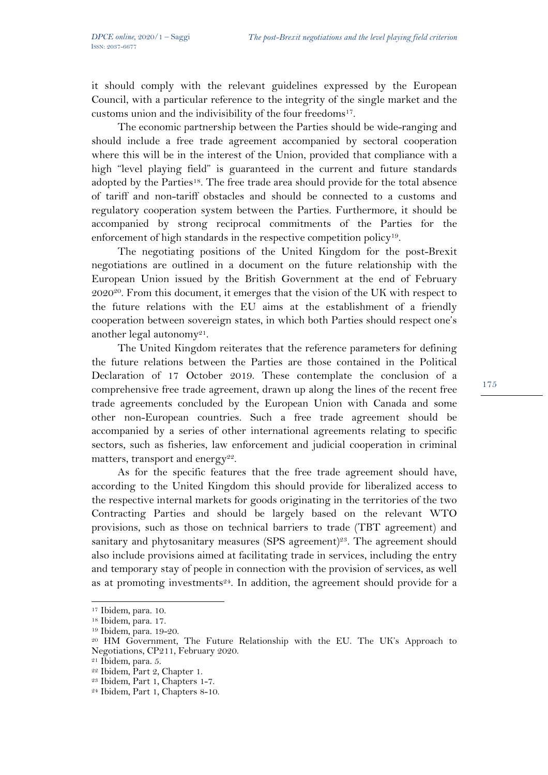it should comply with the relevant guidelines expressed by the European Council, with a particular reference to the integrity of the single market and the customs union and the indivisibility of the four freedoms<sup>17</sup>.

The economic partnership between the Parties should be wide-ranging and should include a free trade agreement accompanied by sectoral cooperation where this will be in the interest of the Union, provided that compliance with a high "level playing field" is guaranteed in the current and future standards adopted by the Parties18. The free trade area should provide for the total absence of tariff and non-tariff obstacles and should be connected to a customs and regulatory cooperation system between the Parties. Furthermore, it should be accompanied by strong reciprocal commitments of the Parties for the enforcement of high standards in the respective competition policy<sup>19</sup>.

The negotiating positions of the United Kingdom for the post-Brexit negotiations are outlined in a document on the future relationship with the European Union issued by the British Government at the end of February  $2020^{20}$ . From this document, it emerges that the vision of the UK with respect to the future relations with the EU aims at the establishment of a friendly cooperation between sovereign states, in which both Parties should respect one's another legal autonomy<sup>21</sup>.

The United Kingdom reiterates that the reference parameters for defining the future relations between the Parties are those contained in the Political Declaration of 17 October 2019. These contemplate the conclusion of a comprehensive free trade agreement, drawn up along the lines of the recent free trade agreements concluded by the European Union with Canada and some other non-European countries. Such a free trade agreement should be accompanied by a series of other international agreements relating to specific sectors, such as fisheries, law enforcement and judicial cooperation in criminal matters, transport and energy<sup>22</sup>.

As for the specific features that the free trade agreement should have, according to the United Kingdom this should provide for liberalized access to the respective internal markets for goods originating in the territories of the two Contracting Parties and should be largely based on the relevant WTO provisions, such as those on technical barriers to trade (TBT agreement) and sanitary and phytosanitary measures (SPS agreement)<sup>23</sup>. The agreement should also include provisions aimed at facilitating trade in services, including the entry and temporary stay of people in connection with the provision of services, as well as at promoting investments<sup>24</sup>. In addition, the agreement should provide for a

<sup>17</sup> Ibidem, para. 10.

<sup>18</sup> Ibidem, para. 17.

<sup>19</sup> Ibidem, para. 19-20.

<sup>20</sup> HM Government, The Future Relationship with the EU. The UK's Approach to Negotiations, CP211, February 2020.

<sup>21</sup> Ibidem, para. 5.

<sup>22</sup> Ibidem, Part 2, Chapter 1.

<sup>23</sup> Ibidem, Part 1, Chapters 1-7.

<sup>24</sup> Ibidem, Part 1, Chapters 8-10.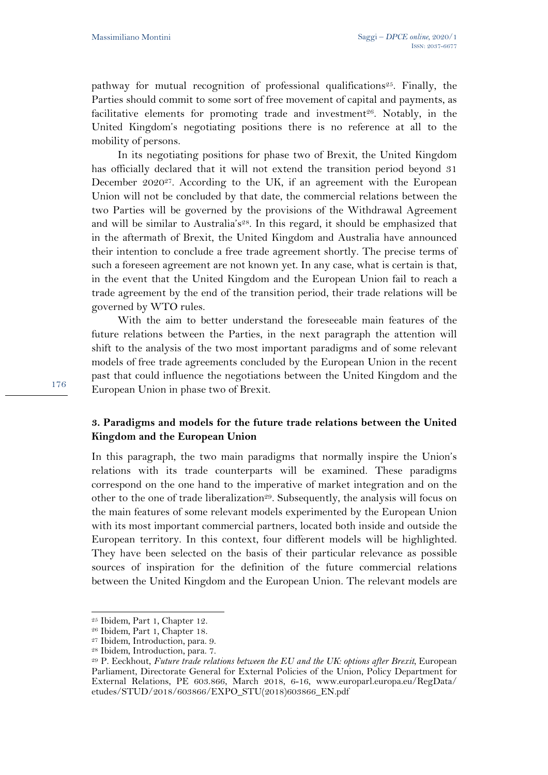pathway for mutual recognition of professional qualifications<sup>25</sup>. Finally, the Parties should commit to some sort of free movement of capital and payments, as facilitative elements for promoting trade and investment<sup>26</sup>. Notably, in the United Kingdom's negotiating positions there is no reference at all to the mobility of persons.

In its negotiating positions for phase two of Brexit, the United Kingdom has officially declared that it will not extend the transition period beyond 31 December 2020<sup>27</sup>. According to the UK, if an agreement with the European Union will not be concluded by that date, the commercial relations between the two Parties will be governed by the provisions of the Withdrawal Agreement and will be similar to Australia's<sup>28</sup>. In this regard, it should be emphasized that in the aftermath of Brexit, the United Kingdom and Australia have announced their intention to conclude a free trade agreement shortly. The precise terms of such a foreseen agreement are not known yet. In any case, what is certain is that, in the event that the United Kingdom and the European Union fail to reach a trade agreement by the end of the transition period, their trade relations will be governed by WTO rules.

With the aim to better understand the foreseeable main features of the future relations between the Parties, in the next paragraph the attention will shift to the analysis of the two most important paradigms and of some relevant models of free trade agreements concluded by the European Union in the recent past that could influence the negotiations between the United Kingdom and the European Union in phase two of Brexit.

## **3. Paradigms and models for the future trade relations between the United Kingdom and the European Union**

In this paragraph, the two main paradigms that normally inspire the Union's relations with its trade counterparts will be examined. These paradigms correspond on the one hand to the imperative of market integration and on the other to the one of trade liberalization<sup>29</sup>. Subsequently, the analysis will focus on the main features of some relevant models experimented by the European Union with its most important commercial partners, located both inside and outside the European territory. In this context, four different models will be highlighted. They have been selected on the basis of their particular relevance as possible sources of inspiration for the definition of the future commercial relations between the United Kingdom and the European Union. The relevant models are

<sup>25</sup> Ibidem, Part 1, Chapter 12.

<sup>26</sup> Ibidem, Part 1, Chapter 18.

<sup>27</sup> Ibidem, Introduction, para. 9.

<sup>28</sup> Ibidem, Introduction, para. 7.

<sup>29</sup> P. Eeckhout, *Future trade relations between the EU and the UK: options after Brexit,* European Parliament, Directorate General for External Policies of the Union, Policy Department for External Relations, PE 603.866, March 2018, 6-16, www.europarl.europa.eu/RegData/ etudes/STUD/2018/603866/EXPO\_STU(2018)603866\_EN.pdf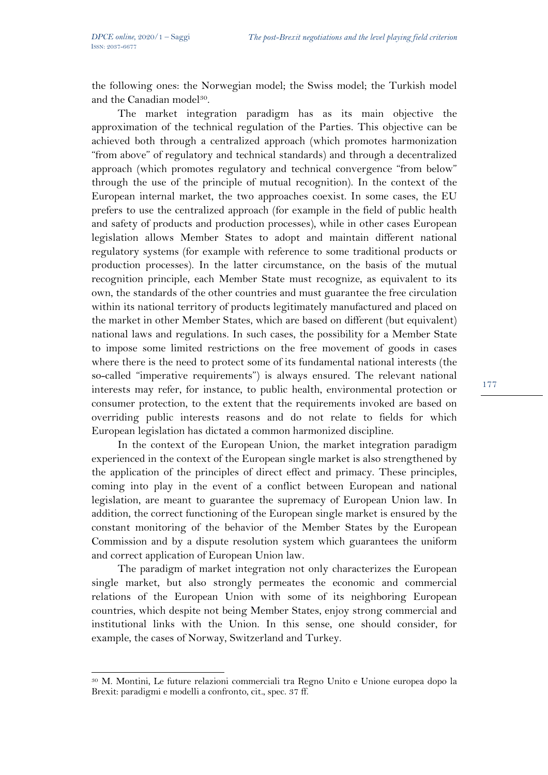the following ones: the Norwegian model; the Swiss model; the Turkish model and the Canadian model<sup>30</sup>.

The market integration paradigm has as its main objective the approximation of the technical regulation of the Parties. This objective can be achieved both through a centralized approach (which promotes harmonization "from above" of regulatory and technical standards) and through a decentralized approach (which promotes regulatory and technical convergence "from below" through the use of the principle of mutual recognition). In the context of the European internal market, the two approaches coexist. In some cases, the EU prefers to use the centralized approach (for example in the field of public health and safety of products and production processes), while in other cases European legislation allows Member States to adopt and maintain different national regulatory systems (for example with reference to some traditional products or production processes). In the latter circumstance, on the basis of the mutual recognition principle, each Member State must recognize, as equivalent to its own, the standards of the other countries and must guarantee the free circulation within its national territory of products legitimately manufactured and placed on the market in other Member States, which are based on different (but equivalent) national laws and regulations. In such cases, the possibility for a Member State to impose some limited restrictions on the free movement of goods in cases where there is the need to protect some of its fundamental national interests (the so-called "imperative requirements") is always ensured. The relevant national interests may refer, for instance, to public health, environmental protection or consumer protection, to the extent that the requirements invoked are based on overriding public interests reasons and do not relate to fields for which European legislation has dictated a common harmonized discipline.

In the context of the European Union, the market integration paradigm experienced in the context of the European single market is also strengthened by the application of the principles of direct effect and primacy. These principles, coming into play in the event of a conflict between European and national legislation, are meant to guarantee the supremacy of European Union law. In addition, the correct functioning of the European single market is ensured by the constant monitoring of the behavior of the Member States by the European Commission and by a dispute resolution system which guarantees the uniform and correct application of European Union law.

The paradigm of market integration not only characterizes the European single market, but also strongly permeates the economic and commercial relations of the European Union with some of its neighboring European countries, which despite not being Member States, enjoy strong commercial and institutional links with the Union. In this sense, one should consider, for example, the cases of Norway, Switzerland and Turkey.

<sup>30</sup> M. Montini, Le future relazioni commerciali tra Regno Unito e Unione europea dopo la Brexit: paradigmi e modelli a confronto, cit*.*, spec. 37 ff.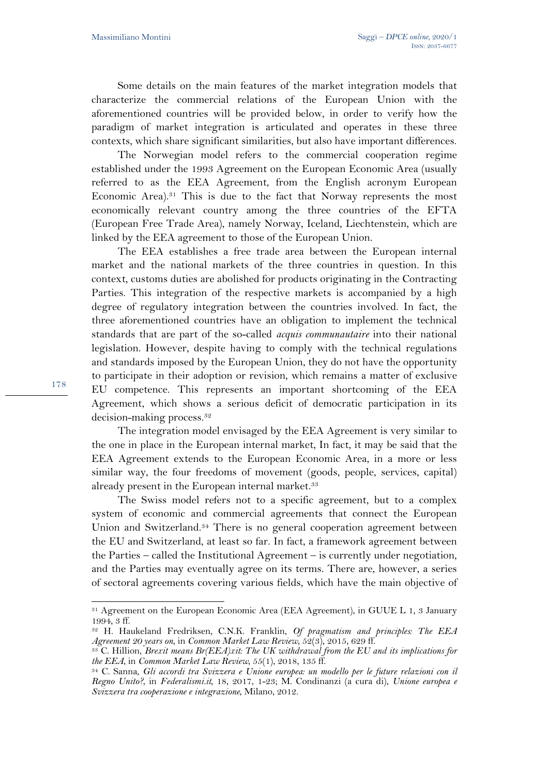178

Some details on the main features of the market integration models that characterize the commercial relations of the European Union with the aforementioned countries will be provided below, in order to verify how the paradigm of market integration is articulated and operates in these three contexts, which share significant similarities, but also have important differences.

The Norwegian model refers to the commercial cooperation regime established under the 1993 Agreement on the European Economic Area (usually referred to as the EEA Agreement, from the English acronym European Economic Area).31 This is due to the fact that Norway represents the most economically relevant country among the three countries of the EFTA (European Free Trade Area), namely Norway, Iceland, Liechtenstein, which are linked by the EEA agreement to those of the European Union.

The EEA establishes a free trade area between the European internal market and the national markets of the three countries in question. In this context, customs duties are abolished for products originating in the Contracting Parties. This integration of the respective markets is accompanied by a high degree of regulatory integration between the countries involved. In fact, the three aforementioned countries have an obligation to implement the technical standards that are part of the so-called *acquis communautaire* into their national legislation. However, despite having to comply with the technical regulations and standards imposed by the European Union, they do not have the opportunity to participate in their adoption or revision, which remains a matter of exclusive EU competence. This represents an important shortcoming of the EEA Agreement, which shows a serious deficit of democratic participation in its decision-making process.32

The integration model envisaged by the EEA Agreement is very similar to the one in place in the European internal market, In fact, it may be said that the EEA Agreement extends to the European Economic Area, in a more or less similar way, the four freedoms of movement (goods, people, services, capital) already present in the European internal market.<sup>33</sup>

The Swiss model refers not to a specific agreement, but to a complex system of economic and commercial agreements that connect the European Union and Switzerland.34 There is no general cooperation agreement between the EU and Switzerland, at least so far. In fact, a framework agreement between the Parties – called the Institutional Agreement – is currently under negotiation, and the Parties may eventually agree on its terms. There are, however, a series of sectoral agreements covering various fields, which have the main objective of

<sup>31</sup> Agreement on the European Economic Area (EEA Agreement), in GUUE L 1, 3 January 1994, 3 ff.

<sup>32</sup> H. Haukeland Fredriksen, C.N.K. Franklin, *Of pragmatism and principles: The EEA Agreement 20 years on*, in *Common Market Law Review*, 52(3), 2015, 629 ff.

<sup>33</sup> C. Hillion, *Brexit means Br(EEA)xit: The UK withdrawal from the EU and its implications for the EEA*, in *Common Market Law Review*, 55(1), 2018, 135 ff.

<sup>34</sup> C. Sanna, *Gli accordi tra Svizzera e Unione europea: un modello per le future relazioni con il Regno Unito?*, in *Federalismi.it,* 18, 2017, 1-23; M. Condinanzi (a cura di), *Unione europea e Svizzera tra cooperazione e integrazione*, Milano, 2012.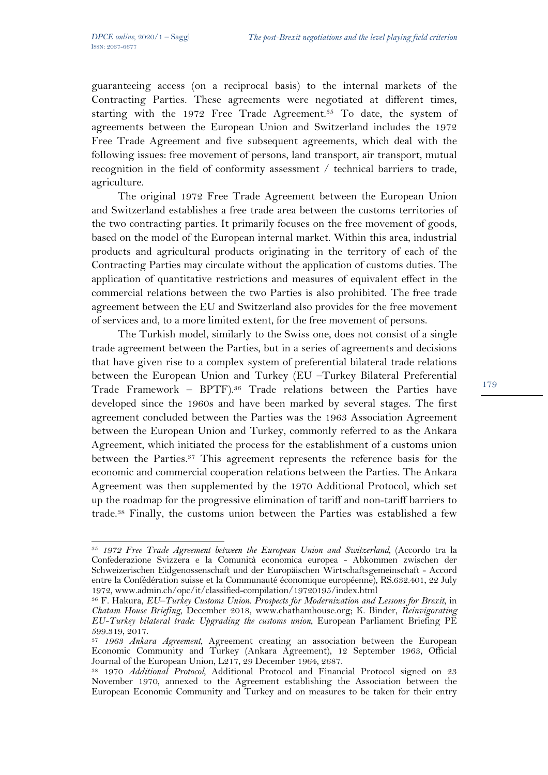guaranteeing access (on a reciprocal basis) to the internal markets of the Contracting Parties. These agreements were negotiated at different times, starting with the 1972 Free Trade Agreement.<sup>35</sup> To date, the system of agreements between the European Union and Switzerland includes the 1972 Free Trade Agreement and five subsequent agreements, which deal with the following issues: free movement of persons, land transport, air transport, mutual recognition in the field of conformity assessment / technical barriers to trade, agriculture.

The original 1972 Free Trade Agreement between the European Union and Switzerland establishes a free trade area between the customs territories of the two contracting parties. It primarily focuses on the free movement of goods, based on the model of the European internal market. Within this area, industrial products and agricultural products originating in the territory of each of the Contracting Parties may circulate without the application of customs duties. The application of quantitative restrictions and measures of equivalent effect in the commercial relations between the two Parties is also prohibited. The free trade agreement between the EU and Switzerland also provides for the free movement of services and, to a more limited extent, for the free movement of persons.

The Turkish model, similarly to the Swiss one, does not consist of a single trade agreement between the Parties, but in a series of agreements and decisions that have given rise to a complex system of preferential bilateral trade relations between the European Union and Turkey (EU –Turkey Bilateral Preferential Trade Framework – BPTF).36 Trade relations between the Parties have developed since the 1960s and have been marked by several stages. The first agreement concluded between the Parties was the 1963 Association Agreement between the European Union and Turkey, commonly referred to as the Ankara Agreement, which initiated the process for the establishment of a customs union between the Parties.<sup>37</sup> This agreement represents the reference basis for the economic and commercial cooperation relations between the Parties. The Ankara Agreement was then supplemented by the 1970 Additional Protocol, which set up the roadmap for the progressive elimination of tariff and non-tariff barriers to trade.38 Finally, the customs union between the Parties was established a few

<sup>35</sup> *1972 Free Trade Agreement between the European Union and Switzerland*, (Accordo tra la Confederazione Svizzera e la Comunità economica europea - Abkommen zwischen der Schweizerischen Eidgenossenschaft und der Europäischen Wirtschaftsgemeinschaft - Accord entre la Confédération suisse et la Communauté économique européenne), RS.632.401, 22 July 1972, www.admin.ch/opc/it/classified-compilation/19720195/index.html

<sup>36</sup> F. Hakura, *EU–Turkey Customs Union. Prospects for Modernization and Lessons for Brexit*, in *Chatam House Briefing*, December 2018, www.chathamhouse.org; K. Binder, *Reinvigorating EU-Turkey bilateral trade: Upgrading the customs union*, European Parliament Briefing PE 599.319, 2017.

<sup>37</sup> *1963 Ankara Agreement*, Agreement creating an association between the European Economic Community and Turkey (Ankara Agreement), 12 September 1963, Official Journal of the European Union, L217, 29 December 1964, 2687.

<sup>38</sup> 1970 *Additional Protocol*, Additional Protocol and Financial Protocol signed on 23 November 1970, annexed to the Agreement establishing the Association between the European Economic Community and Turkey and on measures to be taken for their entry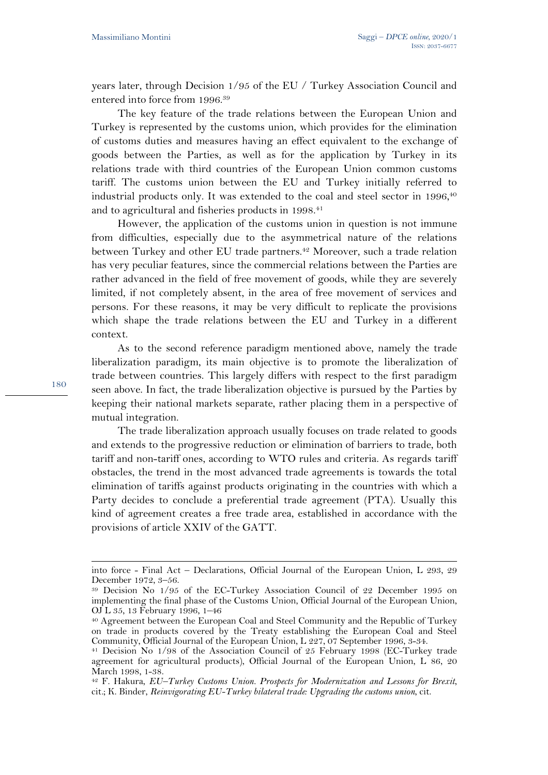years later, through Decision 1/95 of the EU / Turkey Association Council and entered into force from 1996.39

The key feature of the trade relations between the European Union and Turkey is represented by the customs union, which provides for the elimination of customs duties and measures having an effect equivalent to the exchange of goods between the Parties, as well as for the application by Turkey in its relations trade with third countries of the European Union common customs tariff. The customs union between the EU and Turkey initially referred to industrial products only. It was extended to the coal and steel sector in  $1996,40$ and to agricultural and fisheries products in 1998.<sup>41</sup>

However, the application of the customs union in question is not immune from difficulties, especially due to the asymmetrical nature of the relations between Turkey and other EU trade partners.<sup>42</sup> Moreover, such a trade relation has very peculiar features, since the commercial relations between the Parties are rather advanced in the field of free movement of goods, while they are severely limited, if not completely absent, in the area of free movement of services and persons. For these reasons, it may be very difficult to replicate the provisions which shape the trade relations between the EU and Turkey in a different context.

As to the second reference paradigm mentioned above, namely the trade liberalization paradigm, its main objective is to promote the liberalization of trade between countries. This largely differs with respect to the first paradigm seen above. In fact, the trade liberalization objective is pursued by the Parties by keeping their national markets separate, rather placing them in a perspective of mutual integration.

The trade liberalization approach usually focuses on trade related to goods and extends to the progressive reduction or elimination of barriers to trade, both tariff and non-tariff ones, according to WTO rules and criteria. As regards tariff obstacles, the trend in the most advanced trade agreements is towards the total elimination of tariffs against products originating in the countries with which a Party decides to conclude a preferential trade agreement (PTA). Usually this kind of agreement creates a free trade area, established in accordance with the provisions of article XXIV of the GATT.

into force - Final Act – Declarations, Official Journal of the European Union, L 293, 29 December 1972, 3–56.

<sup>39</sup> Decision No 1/95 of the EC-Turkey Association Council of 22 December 1995 on implementing the final phase of the Customs Union, Official Journal of the European Union, OJ L 35, 13 February 1996, 1–46

<sup>40</sup> Agreement between the European Coal and Steel Community and the Republic of Turkey on trade in products covered by the Treaty establishing the European Coal and Steel Community, Official Journal of the European Union, L 227, 07 September 1996, 3-34.

<sup>41</sup> Decision No 1/98 of the Association Council of 25 February 1998 (EC-Turkey trade agreement for agricultural products), Official Journal of the European Union, L 86, 20 March 1998, 1-38.

<sup>42</sup> F. Hakura, *EU–Turkey Customs Union. Prospects for Modernization and Lessons for Brexit*, cit*.*; K. Binder, *Reinvigorating EU-Turkey bilateral trade: Upgrading the customs union*, cit.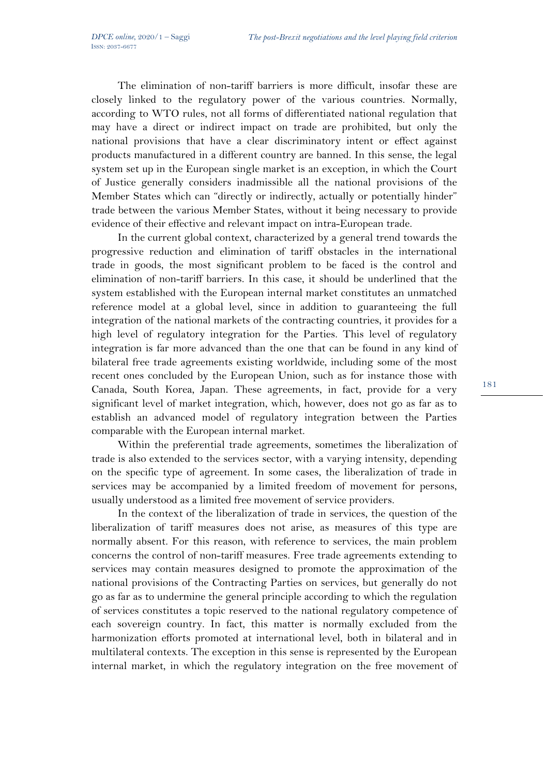The elimination of non-tariff barriers is more difficult, insofar these are closely linked to the regulatory power of the various countries. Normally, according to WTO rules, not all forms of differentiated national regulation that may have a direct or indirect impact on trade are prohibited, but only the national provisions that have a clear discriminatory intent or effect against products manufactured in a different country are banned. In this sense, the legal system set up in the European single market is an exception, in which the Court of Justice generally considers inadmissible all the national provisions of the Member States which can "directly or indirectly, actually or potentially hinder" trade between the various Member States, without it being necessary to provide evidence of their effective and relevant impact on intra-European trade.

In the current global context, characterized by a general trend towards the progressive reduction and elimination of tariff obstacles in the international trade in goods, the most significant problem to be faced is the control and elimination of non-tariff barriers. In this case, it should be underlined that the system established with the European internal market constitutes an unmatched reference model at a global level, since in addition to guaranteeing the full integration of the national markets of the contracting countries, it provides for a high level of regulatory integration for the Parties. This level of regulatory integration is far more advanced than the one that can be found in any kind of bilateral free trade agreements existing worldwide, including some of the most recent ones concluded by the European Union, such as for instance those with Canada, South Korea, Japan. These agreements, in fact, provide for a very significant level of market integration, which, however, does not go as far as to establish an advanced model of regulatory integration between the Parties comparable with the European internal market.

Within the preferential trade agreements, sometimes the liberalization of trade is also extended to the services sector, with a varying intensity, depending on the specific type of agreement. In some cases, the liberalization of trade in services may be accompanied by a limited freedom of movement for persons, usually understood as a limited free movement of service providers.

In the context of the liberalization of trade in services, the question of the liberalization of tariff measures does not arise, as measures of this type are normally absent. For this reason, with reference to services, the main problem concerns the control of non-tariff measures. Free trade agreements extending to services may contain measures designed to promote the approximation of the national provisions of the Contracting Parties on services, but generally do not go as far as to undermine the general principle according to which the regulation of services constitutes a topic reserved to the national regulatory competence of each sovereign country. In fact, this matter is normally excluded from the harmonization efforts promoted at international level, both in bilateral and in multilateral contexts. The exception in this sense is represented by the European internal market, in which the regulatory integration on the free movement of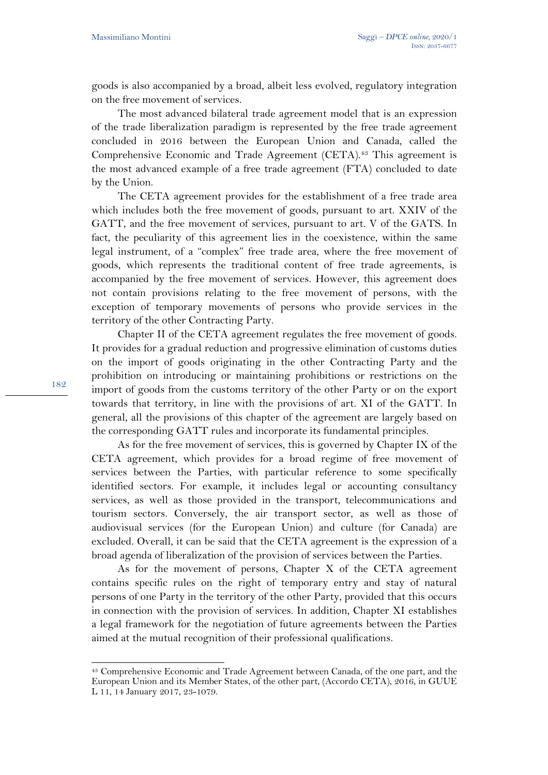goods is also accompanied by a broad, albeit less evolved, regulatory integration on the free movement of services.

The most advanced bilateral trade agreement model that is an expression of the trade liberalization paradigm is represented by the free trade agreement concluded in 2016 between the European Union and Canada, called the Comprehensive Economic and Trade Agreement (CETA).<sup>43</sup> This agreement is the most advanced example of a free trade agreement (FTA) concluded to date by the Union.

The CETA agreement provides for the establishment of a free trade area which includes both the free movement of goods, pursuant to art. XXIV of the GATT, and the free movement of services, pursuant to art. V of the GATS. In fact, the peculiarity of this agreement lies in the coexistence, within the same legal instrument, of a "complex" free trade area, where the free movement of goods, which represents the traditional content of free trade agreements, is accompanied by the free movement of services. However, this agreement does not contain provisions relating to the free movement of persons, with the exception of temporary movements of persons who provide services in the territory of the other Contracting Party.

Chapter II of the CETA agreement regulates the free movement of goods. It provides for a gradual reduction and progressive elimination of customs duties on the import of goods originating in the other Contracting Party and the prohibition on introducing or maintaining prohibitions or restrictions on the import of goods from the customs territory of the other Party or on the export towards that territory, in line with the provisions of art. XI of the GATT. In general, all the provisions of this chapter of the agreement are largely based on the corresponding GATT rules and incorporate its fundamental principles.

As for the free movement of services, this is governed by Chapter IX of the CETA agreement, which provides for a broad regime of free movement of services between the Parties, with particular reference to some specifically identified sectors. For example, it includes legal or accounting consultancy services, as well as those provided in the transport, telecommunications and tourism sectors. Conversely, the air transport sector, as well as those of audiovisual services (for the European Union) and culture (for Canada) are excluded. Overall, it can be said that the CETA agreement is the expression of a broad agenda of liberalization of the provision of services between the Parties.

As for the movement of persons, Chapter X of the CETA agreement contains specific rules on the right of temporary entry and stay of natural persons of one Party in the territory of the other Party, provided that this occurs in connection with the provision of services. In addition, Chapter XI establishes a legal framework for the negotiation of future agreements between the Parties aimed at the mutual recognition of their professional qualifications.

<sup>43</sup> Comprehensive Economic and Trade Agreement between Canada, of the one part, and the European Union and its Member States, of the other part, (Accordo CETA), 2016, in GUUE L 11, 14 January 2017, 23-1079.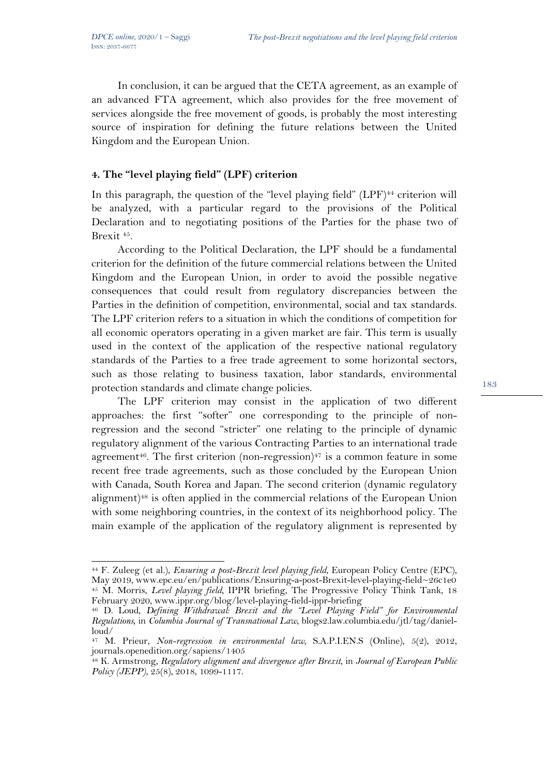In conclusion, it can be argued that the CETA agreement, as an example of an advanced FTA agreement, which also provides for the free movement of services alongside the free movement of goods, is probably the most interesting source of inspiration for defining the future relations between the United Kingdom and the European Union.

### **4. The "level playing field" (LPF) criterion**

In this paragraph, the question of the "level playing field"  $(LPF)^{44}$  criterion will be analyzed, with a particular regard to the provisions of the Political Declaration and to negotiating positions of the Parties for the phase two of Brexit 45.

According to the Political Declaration, the LPF should be a fundamental criterion for the definition of the future commercial relations between the United Kingdom and the European Union, in order to avoid the possible negative consequences that could result from regulatory discrepancies between the Parties in the definition of competition, environmental, social and tax standards. The LPF criterion refers to a situation in which the conditions of competition for all economic operators operating in a given market are fair. This term is usually used in the context of the application of the respective national regulatory standards of the Parties to a free trade agreement to some horizontal sectors, such as those relating to business taxation, labor standards, environmental protection standards and climate change policies.

The LPF criterion may consist in the application of two different approaches: the first "softer" one corresponding to the principle of nonregression and the second "stricter" one relating to the principle of dynamic regulatory alignment of the various Contracting Parties to an international trade agreement<sup>46</sup>. The first criterion (non-regression)<sup> $47$ </sup> is a common feature in some recent free trade agreements, such as those concluded by the European Union with Canada, South Korea and Japan. The second criterion (dynamic regulatory alignment)48 is often applied in the commercial relations of the European Union with some neighboring countries, in the context of its neighborhood policy. The main example of the application of the regulatory alignment is represented by

<sup>44</sup> F. Zuleeg (et al.), *Ensuring a post-Brexit level playing field*, European Policy Centre (EPC), May 2019, www.epc.eu/en/publications/Ensuring-a-post-Brexit-level-playing-field~26c1e0 <sup>45</sup> M. Morris, *Level playing field*, IPPR briefing, The Progressive Policy Think Tank, 18 February 2020, www.ippr.org/blog/level-playing-field-ippr-briefing

<sup>46</sup> D. Loud, *Defining Withdrawal: Brexit and the "Level Playing Field" for Environmental Regulations*, in *Columbia Journal of Transnational Law*, blogs2.law.columbia.edu/jtl/tag/danielloud/

<sup>47</sup> M. Prieur, *Non-regression in environmental law*, S.A.P.I.EN.S (Online), 5(2), 2012, journals.openedition.org/sapiens/1405

<sup>48</sup> K. Armstrong, *Regulatory alignment and divergence after Brexit*, in *Journal of European Public Policy (JEPP)*, 25(8), 2018, 1099-1117.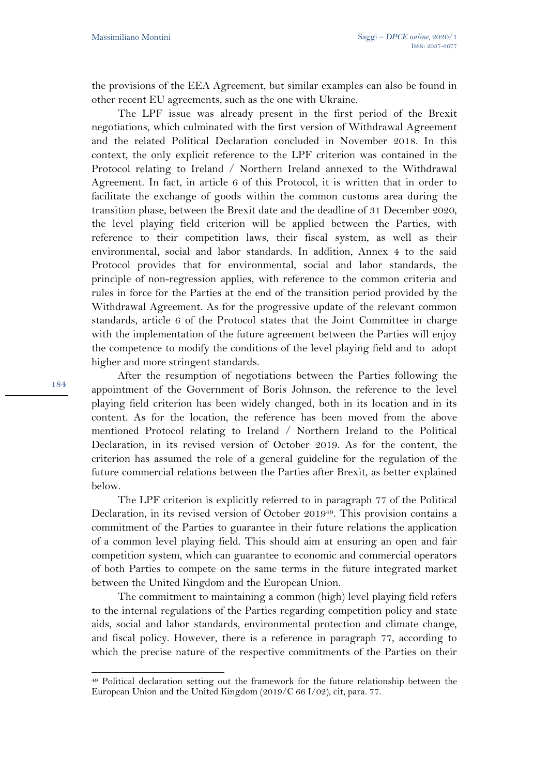the provisions of the EEA Agreement, but similar examples can also be found in other recent EU agreements, such as the one with Ukraine.

The LPF issue was already present in the first period of the Brexit negotiations, which culminated with the first version of Withdrawal Agreement and the related Political Declaration concluded in November 2018. In this context, the only explicit reference to the LPF criterion was contained in the Protocol relating to Ireland / Northern Ireland annexed to the Withdrawal Agreement. In fact, in article 6 of this Protocol, it is written that in order to facilitate the exchange of goods within the common customs area during the transition phase, between the Brexit date and the deadline of 31 December 2020, the level playing field criterion will be applied between the Parties, with reference to their competition laws, their fiscal system, as well as their environmental, social and labor standards. In addition, Annex 4 to the said Protocol provides that for environmental, social and labor standards, the principle of non-regression applies, with reference to the common criteria and rules in force for the Parties at the end of the transition period provided by the Withdrawal Agreement. As for the progressive update of the relevant common standards, article 6 of the Protocol states that the Joint Committee in charge with the implementation of the future agreement between the Parties will enjoy the competence to modify the conditions of the level playing field and to adopt higher and more stringent standards.

After the resumption of negotiations between the Parties following the appointment of the Government of Boris Johnson, the reference to the level playing field criterion has been widely changed, both in its location and in its content. As for the location, the reference has been moved from the above mentioned Protocol relating to Ireland / Northern Ireland to the Political Declaration, in its revised version of October 2019. As for the content, the criterion has assumed the role of a general guideline for the regulation of the future commercial relations between the Parties after Brexit, as better explained below.

The LPF criterion is explicitly referred to in paragraph 77 of the Political Declaration, in its revised version of October 201949. This provision contains a commitment of the Parties to guarantee in their future relations the application of a common level playing field. This should aim at ensuring an open and fair competition system, which can guarantee to economic and commercial operators of both Parties to compete on the same terms in the future integrated market between the United Kingdom and the European Union.

The commitment to maintaining a common (high) level playing field refers to the internal regulations of the Parties regarding competition policy and state aids, social and labor standards, environmental protection and climate change, and fiscal policy. However, there is a reference in paragraph 77, according to which the precise nature of the respective commitments of the Parties on their

<sup>49</sup> Political declaration setting out the framework for the future relationship between the European Union and the United Kingdom (2019/C 66 I/02), cit, para. 77.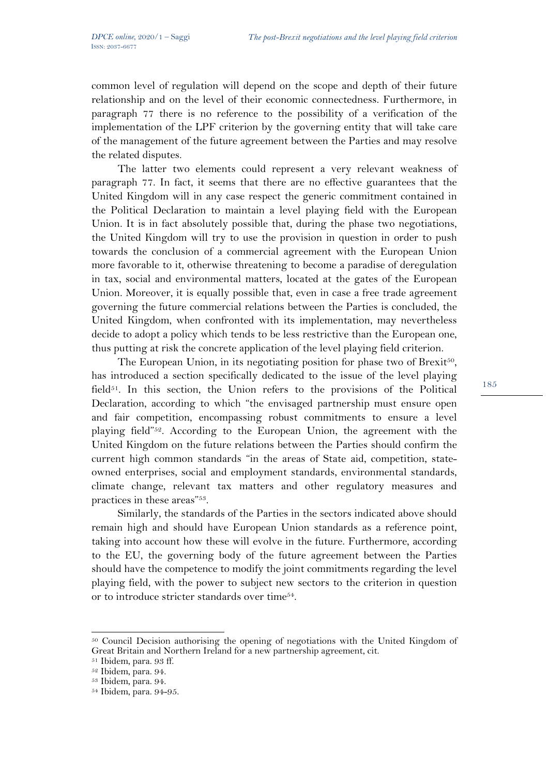common level of regulation will depend on the scope and depth of their future relationship and on the level of their economic connectedness. Furthermore, in paragraph 77 there is no reference to the possibility of a verification of the implementation of the LPF criterion by the governing entity that will take care of the management of the future agreement between the Parties and may resolve the related disputes.

The latter two elements could represent a very relevant weakness of paragraph 77. In fact, it seems that there are no effective guarantees that the United Kingdom will in any case respect the generic commitment contained in the Political Declaration to maintain a level playing field with the European Union. It is in fact absolutely possible that, during the phase two negotiations, the United Kingdom will try to use the provision in question in order to push towards the conclusion of a commercial agreement with the European Union more favorable to it, otherwise threatening to become a paradise of deregulation in tax, social and environmental matters, located at the gates of the European Union. Moreover, it is equally possible that, even in case a free trade agreement governing the future commercial relations between the Parties is concluded, the United Kingdom, when confronted with its implementation, may nevertheless decide to adopt a policy which tends to be less restrictive than the European one, thus putting at risk the concrete application of the level playing field criterion.

The European Union, in its negotiating position for phase two of Brexit<sup>50</sup>, has introduced a section specifically dedicated to the issue of the level playing field $51$ . In this section, the Union refers to the provisions of the Political Declaration, according to which "the envisaged partnership must ensure open and fair competition, encompassing robust commitments to ensure a level playing field"52. According to the European Union, the agreement with the United Kingdom on the future relations between the Parties should confirm the current high common standards "in the areas of State aid, competition, stateowned enterprises, social and employment standards, environmental standards, climate change, relevant tax matters and other regulatory measures and practices in these areas"53.

Similarly, the standards of the Parties in the sectors indicated above should remain high and should have European Union standards as a reference point, taking into account how these will evolve in the future. Furthermore, according to the EU, the governing body of the future agreement between the Parties should have the competence to modify the joint commitments regarding the level playing field, with the power to subject new sectors to the criterion in question or to introduce stricter standards over time54.

<sup>50</sup> Council Decision authorising the opening of negotiations with the United Kingdom of Great Britain and Northern Ireland for a new partnership agreement, cit.

<sup>51</sup> Ibidem, para. 93 ff.

<sup>52</sup> Ibidem, para. 94.

<sup>53</sup> Ibidem, para. 94.

<sup>54</sup> Ibidem, para. 94-95.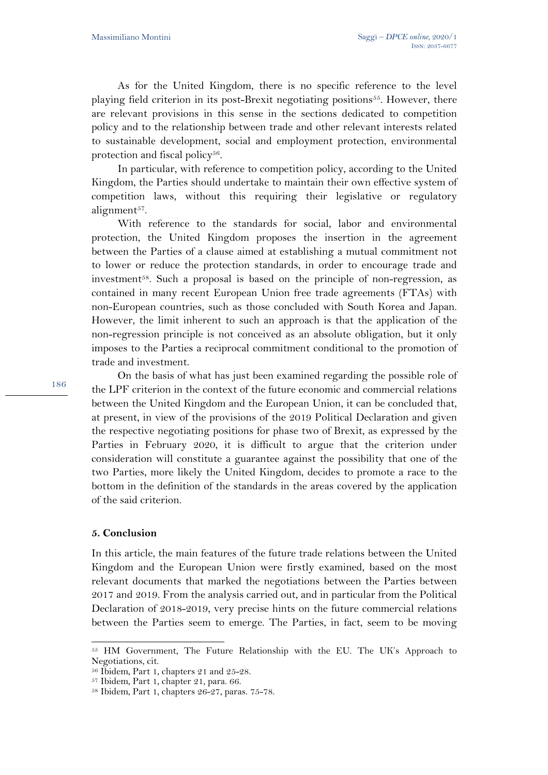As for the United Kingdom, there is no specific reference to the level playing field criterion in its post-Brexit negotiating positions55. However, there are relevant provisions in this sense in the sections dedicated to competition policy and to the relationship between trade and other relevant interests related to sustainable development, social and employment protection, environmental protection and fiscal policy $56$ .

In particular, with reference to competition policy, according to the United Kingdom, the Parties should undertake to maintain their own effective system of competition laws, without this requiring their legislative or regulatory alignment<sup>57</sup>.

With reference to the standards for social, labor and environmental protection, the United Kingdom proposes the insertion in the agreement between the Parties of a clause aimed at establishing a mutual commitment not to lower or reduce the protection standards, in order to encourage trade and investment<sup>58</sup>. Such a proposal is based on the principle of non-regression, as contained in many recent European Union free trade agreements (FTAs) with non-European countries, such as those concluded with South Korea and Japan. However, the limit inherent to such an approach is that the application of the non-regression principle is not conceived as an absolute obligation, but it only imposes to the Parties a reciprocal commitment conditional to the promotion of trade and investment.

On the basis of what has just been examined regarding the possible role of the LPF criterion in the context of the future economic and commercial relations between the United Kingdom and the European Union, it can be concluded that, at present, in view of the provisions of the 2019 Political Declaration and given the respective negotiating positions for phase two of Brexit, as expressed by the Parties in February 2020, it is difficult to argue that the criterion under consideration will constitute a guarantee against the possibility that one of the two Parties, more likely the United Kingdom, decides to promote a race to the bottom in the definition of the standards in the areas covered by the application of the said criterion.

#### **5. Conclusion**

In this article, the main features of the future trade relations between the United Kingdom and the European Union were firstly examined, based on the most relevant documents that marked the negotiations between the Parties between 2017 and 2019. From the analysis carried out, and in particular from the Political Declaration of 2018-2019, very precise hints on the future commercial relations between the Parties seem to emerge. The Parties, in fact, seem to be moving

<sup>55</sup> HM Government, The Future Relationship with the EU. The UK's Approach to Negotiations, cit.

 $56$  Ibidem, Part 1, chapters 21 and 25-28.<br> $57$  Ibidem, Part 1, chapter 21, para. 66.

<sup>58</sup> Ibidem, Part 1, chapters 26-27, paras. 75-78.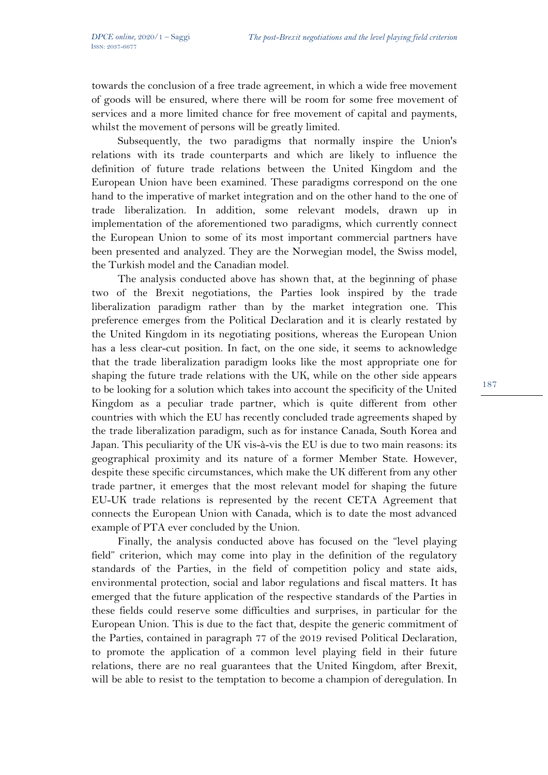towards the conclusion of a free trade agreement, in which a wide free movement of goods will be ensured, where there will be room for some free movement of services and a more limited chance for free movement of capital and payments, whilst the movement of persons will be greatly limited.

Subsequently, the two paradigms that normally inspire the Union's relations with its trade counterparts and which are likely to influence the definition of future trade relations between the United Kingdom and the European Union have been examined. These paradigms correspond on the one hand to the imperative of market integration and on the other hand to the one of trade liberalization. In addition, some relevant models, drawn up in implementation of the aforementioned two paradigms, which currently connect the European Union to some of its most important commercial partners have been presented and analyzed. They are the Norwegian model, the Swiss model, the Turkish model and the Canadian model.

The analysis conducted above has shown that, at the beginning of phase two of the Brexit negotiations, the Parties look inspired by the trade liberalization paradigm rather than by the market integration one. This preference emerges from the Political Declaration and it is clearly restated by the United Kingdom in its negotiating positions, whereas the European Union has a less clear-cut position. In fact, on the one side, it seems to acknowledge that the trade liberalization paradigm looks like the most appropriate one for shaping the future trade relations with the UK, while on the other side appears to be looking for a solution which takes into account the specificity of the United Kingdom as a peculiar trade partner, which is quite different from other countries with which the EU has recently concluded trade agreements shaped by the trade liberalization paradigm, such as for instance Canada, South Korea and Japan. This peculiarity of the UK vis-à-vis the EU is due to two main reasons: its geographical proximity and its nature of a former Member State. However, despite these specific circumstances, which make the UK different from any other trade partner, it emerges that the most relevant model for shaping the future EU-UK trade relations is represented by the recent CETA Agreement that connects the European Union with Canada, which is to date the most advanced example of PTA ever concluded by the Union.

Finally, the analysis conducted above has focused on the "level playing field" criterion, which may come into play in the definition of the regulatory standards of the Parties, in the field of competition policy and state aids, environmental protection, social and labor regulations and fiscal matters. It has emerged that the future application of the respective standards of the Parties in these fields could reserve some difficulties and surprises, in particular for the European Union. This is due to the fact that, despite the generic commitment of the Parties, contained in paragraph 77 of the 2019 revised Political Declaration, to promote the application of a common level playing field in their future relations, there are no real guarantees that the United Kingdom, after Brexit, will be able to resist to the temptation to become a champion of deregulation. In